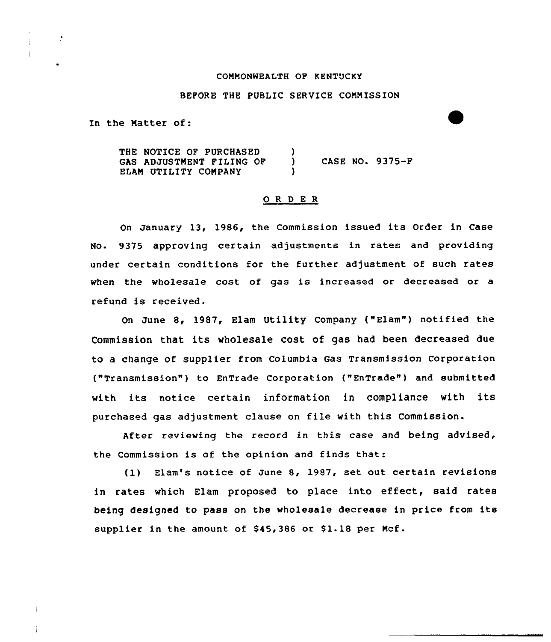### COMMONWEALTH OF KENTUCKY

## BEFORE THE PUBLIC SERVICE COMMISSION

In the Matter of:

THE NOTICE OF PURCHASED (3)<br>GAS ADJUSTMENT FILING OF (3) GAS ADJUSTMENT FILING OF ) CASE NO. 9375-F ELAM UTILITY COMPANY

#### ORDER

On January 13, 1986, the Commission issued its Order in Case No. 9375 approving certain adjustments in rates and providing under certain conditions for the further adjustment of such rates when the wholesale cost of gas is increased or decreased or a refund is received.

On June 8, 1987, Blam Utility Company ("Elam") notified the Commission that its wholesale cost of gas had been decreased due to a change of supplier from Columbia Gas Transmission Corporation ("Transmission") to EnTrade Corporation ("EnTrade") and submitted with its notice certain information in compliance with its purchased gas adjustment clause on file with this Commission.

After reviewing the record in this case and being advised, the Commission is of the opinion and finds that:

(1) Elam's notice of June 8, 1987, set out certain revisions in rates which Elam proposed to place into effect, said rates being designed to pass on the wholesale decrease in price from its supplier in the amount of \$45,386 or \$1.18 per Mcf.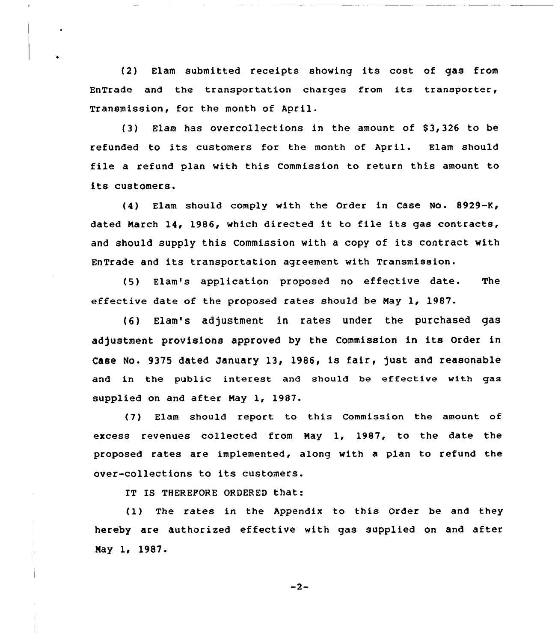(2) Elam submitted receipts showing its cost of gas from EnTrade and the transportation charges from its transporter, Transmission, for the month of April.

{3) Elam has overcollections in the amount of S3,326 to be refunded to its customers for the month of April. Elam should file <sup>a</sup> refund plan with this Commission to return this amount to its customers.

(4) Elam should comply with the Order in Case No. 8929-K, dated March 14, 1986, which directed it to file its gas contracts, and should supply this Commission with <sup>a</sup> copy of its contract with EnTrade and its transportation agreement with Transmission.

(5) Elam's application proposed no effective date. The effective date of the proposed rates should be Nay 1, 1987.

{6) Elam's adjustment in rates under the purchased gas adjustment provisions approved by the Commission in its Order in Case No. 9375 dated January 13, 1986, is fair, just and reasonable and in the public interest and should be effective with gas supplied on and after May 1, 1987.

(7) Elam should report to this Commission the amount of excess revenues collected from May 1, 1987, to the date the proposed rates are implemented, along with a plan to refund the over-collections to its customers.

IT IS THEREFORE ORDERED that:

(1) The rates in the Appendix to this Order be and they hereby are authorised effective with gas supplied on and after May 1, 1987.

 $-2-$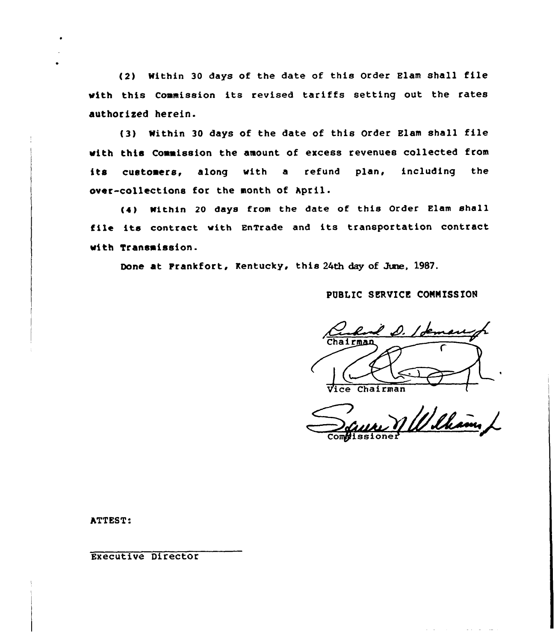{2) Within <sup>30</sup> days of the date of this Order Elam shall file vith this Commission its revised tariffs setting out the rates authorised herein.

(3) Within <sup>30</sup> days of the date of this Order Elam shall file with this Commission the amount of excess revenues collected from its customers, along vith <sup>a</sup> refund plan, including the over-collections for the month of April.

(4) Within 20 days from the date of this Order Elam shall file its contract vith EnTrade and its transportation contract with Transmission.

Done at Frankfort, Kentucky, this 24th day of June, 1987.

# PUBLIC SERVICE CONNISSIOH

hairman Vice Chairman

nN~= Compissione

ATTEST:

Executive Director